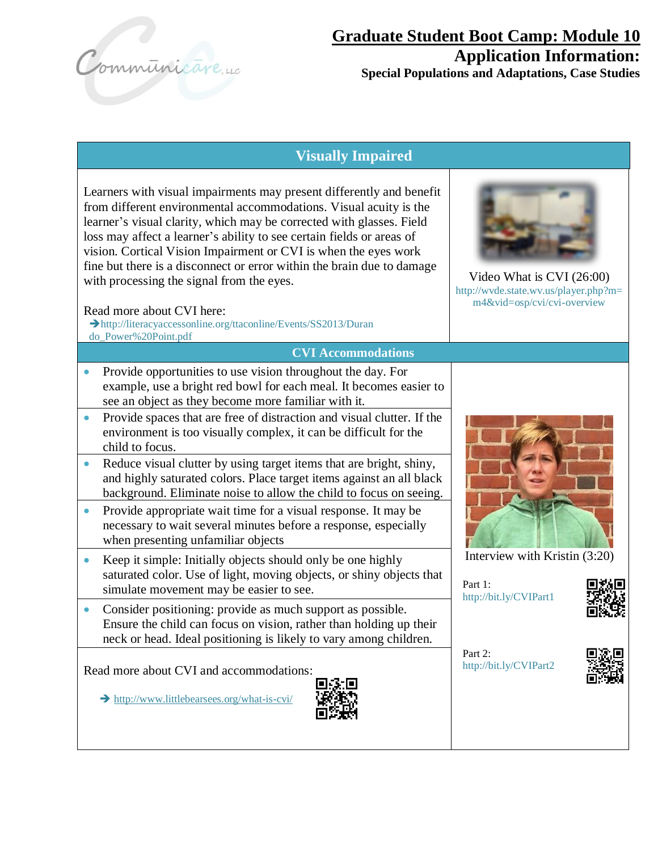Communicare, 40

# **Visually Impaired**

Learners with visual impairments may present differently and benefit from different environmental accommodations. Visual acuity is the learner's visual clarity, which may be corrected with glasses. Field loss may affect a learner's ability to see certain fields or areas of vision. Cortical Vision Impairment or CVI is when the eyes work fine but there is a disconnect or error within the brain due to damage with processing the signal from the eyes.

#### Read more about CVI here:

➔http://literacyaccessonline.org/ttaconline/Events/SS2013/Duran do\_Power%20Point.pdf

**CVI Accommodations**

- Provide opportunities to use vision throughout the day. For example, use a bright red bowl for each meal. It becomes easier to see an object as they become more familiar with it.
- Provide spaces that are free of distraction and visual clutter. If the environment is too visually complex, it can be difficult for the child to focus.
- Reduce visual clutter by using target items that are bright, shiny, and highly saturated colors. Place target items against an all black background. Eliminate noise to allow the child to focus on seeing.
- Provide appropriate wait time for a visual response. It may be necessary to wait several minutes before a response, especially when presenting unfamiliar objects
- Keep it simple: Initially objects should only be one highly saturated color. Use of light, moving objects, or shiny objects that simulate movement may be easier to see.
- Consider positioning: provide as much support as possible. Ensure the child can focus on vision, rather than holding up their neck or head. Ideal positioning is likely to vary among children.

Read more about CVI and accommodations:

➔ <http://www.littlebearsees.org/what-is-cvi/>





Video What is CVI (26:00) http://wvde.state.wv.us/player.php?m= m4&vid=osp/cvi/cvi-overview



Interview with Kristin (3:20)

Part 1: http://bit.ly/CVIPart1



Part  $2^{\cdot}$ http://bit.ly/CVIPart2

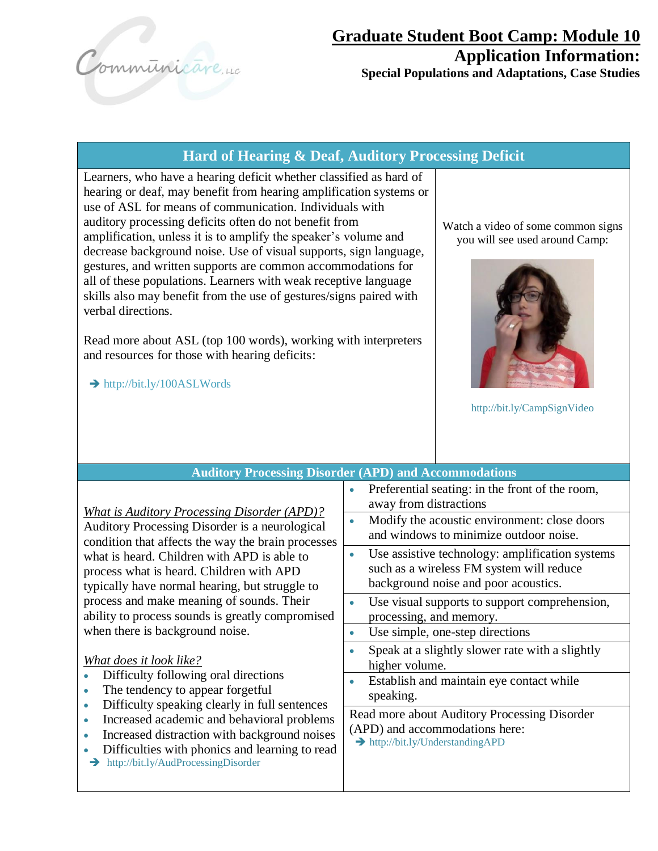Communicare, 40

## **Hard of Hearing & Deaf, Auditory Processing Deficit**

Learners, who have a hearing deficit whether classified as hard of hearing or deaf, may benefit from hearing amplification systems or use of ASL for means of communication. Individuals with auditory processing deficits often do not benefit from amplification, unless it is to amplify the speaker's volume and decrease background noise. Use of visual supports, sign language, gestures, and written supports are common accommodations for all of these populations. Learners with weak receptive language skills also may benefit from the use of gestures/signs paired with verbal directions.

Read more about ASL (top 100 words), working with interpreters and resources for those with hearing deficits:

➔ http://bit.ly/100ASLWords

Watch a video of some common signs you will see used around Camp:



http://bit.ly/CampSignVideo

| <b>Auditory Processing Disorder (APD) and Accommodations</b>                                                                                                                                                                                                                                                                                                                                                                                                                                                                                                                                                                                                                                                                                                                                            |                                                                                                                                                                     |  |  |
|---------------------------------------------------------------------------------------------------------------------------------------------------------------------------------------------------------------------------------------------------------------------------------------------------------------------------------------------------------------------------------------------------------------------------------------------------------------------------------------------------------------------------------------------------------------------------------------------------------------------------------------------------------------------------------------------------------------------------------------------------------------------------------------------------------|---------------------------------------------------------------------------------------------------------------------------------------------------------------------|--|--|
| <b>What is Auditory Processing Disorder (APD)?</b><br>Auditory Processing Disorder is a neurological<br>condition that affects the way the brain processes<br>what is heard. Children with APD is able to<br>process what is heard. Children with APD<br>typically have normal hearing, but struggle to<br>process and make meaning of sounds. Their<br>ability to process sounds is greatly compromised<br>when there is background noise.<br>What does it look like?<br>Difficulty following oral directions<br>The tendency to appear forgetful<br>Difficulty speaking clearly in full sentences<br>$\bullet$<br>Increased academic and behavioral problems<br>Increased distraction with background noises<br>Difficulties with phonics and learning to read<br>http://bit.ly/AudProcessingDisorder | Preferential seating: in the front of the room,<br>away from distractions<br>Modify the acoustic environment: close doors<br>and windows to minimize outdoor noise. |  |  |
|                                                                                                                                                                                                                                                                                                                                                                                                                                                                                                                                                                                                                                                                                                                                                                                                         | Use assistive technology: amplification systems<br>$\bullet$<br>such as a wireless FM system will reduce<br>background noise and poor acoustics.                    |  |  |
|                                                                                                                                                                                                                                                                                                                                                                                                                                                                                                                                                                                                                                                                                                                                                                                                         | Use visual supports to support comprehension,<br>processing, and memory.<br>Use simple, one-step directions                                                         |  |  |
|                                                                                                                                                                                                                                                                                                                                                                                                                                                                                                                                                                                                                                                                                                                                                                                                         | Speak at a slightly slower rate with a slightly<br>higher volume.<br>Establish and maintain eye contact while<br>speaking.                                          |  |  |
|                                                                                                                                                                                                                                                                                                                                                                                                                                                                                                                                                                                                                                                                                                                                                                                                         | Read more about Auditory Processing Disorder<br>(APD) and accommodations here:<br>> http://bit.ly/UnderstandingAPD                                                  |  |  |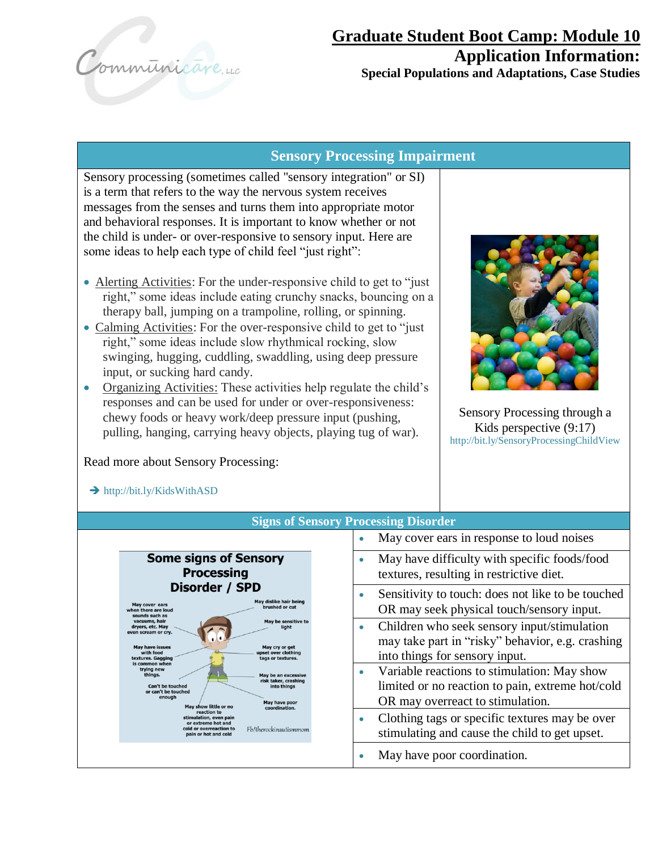Communicare, 40

#### **Sensory Processing Impairment**

Sensory processing (sometimes called "sensory integration" or SI) is a term that refers to the way the nervous system receives messages from the senses and turns them into appropriate motor and behavioral responses. It is important to know whether or not the child is under- or over-responsive to sensory input. Here are some ideas to help each type of child feel "just right":

- Alerting Activities: For the under-responsive child to get to "just" right," some ideas include eating crunchy snacks, bouncing on a therapy ball, jumping on a trampoline, rolling, or spinning.
- Calming Activities: For the over-responsive child to get to "just" right," some ideas include slow rhythmical rocking, slow swinging, hugging, cuddling, swaddling, using deep pressure input, or sucking hard candy.
- Organizing Activities: These activities help regulate the child's responses and can be used for under or over-responsiveness: chewy foods or heavy work/deep pressure input (pushing, pulling, hanging, carrying heavy objects, playing tug of war).

Read more about Sensory Processing:

 $\blacktriangle$  http://bit.ly/KideWithASD



Sensory Processing through a Kids perspective (9:17) http://bit.ly/SensoryProcessingChildView

| $\mathcal{L}$ $\mathcal{L}$ $\mathcal{L}$ $\mathcal{L}$ $\mathcal{L}$ $\mathcal{L}$ $\mathcal{L}$ $\mathcal{L}$ $\mathcal{L}$ $\mathcal{L}$ $\mathcal{L}$ $\mathcal{L}$ $\mathcal{L}$ $\mathcal{L}$ $\mathcal{L}$ $\mathcal{L}$ $\mathcal{L}$ $\mathcal{L}$ $\mathcal{L}$ $\mathcal{L}$ $\mathcal{L}$ $\mathcal{L}$ $\mathcal{L}$ $\mathcal{L}$ $\mathcal{$ |                                                                                                                                                  |  |  |  |
|-------------------------------------------------------------------------------------------------------------------------------------------------------------------------------------------------------------------------------------------------------------------------------------------------------------------------------------------------------------|--------------------------------------------------------------------------------------------------------------------------------------------------|--|--|--|
| <b>Signs of Sensory Processing Disorder</b>                                                                                                                                                                                                                                                                                                                 |                                                                                                                                                  |  |  |  |
|                                                                                                                                                                                                                                                                                                                                                             | May cover ears in response to loud noises<br>۰                                                                                                   |  |  |  |
| <b>Some signs of Sensory</b><br><b>Processing</b>                                                                                                                                                                                                                                                                                                           | May have difficulty with specific foods/food<br>$\bullet$<br>textures, resulting in restrictive diet.                                            |  |  |  |
| Disorder / SPD<br>May dislike hair being<br>May cover ears<br>brushed or cut<br>when there are loud<br>sounds such as                                                                                                                                                                                                                                       | Sensitivity to touch: does not like to be touched<br>$\bullet$<br>OR may seek physical touch/sensory input.                                      |  |  |  |
| vacuums, hair<br>May be sensitive to<br>dryers, etc. May<br>liaht<br>even scream or cry.<br><b>May have issues</b><br>May cry or get<br>with food<br>upset over clothing<br>textures. Gagging<br>tags or textures.                                                                                                                                          | Children who seek sensory input/stimulation<br>۰<br>may take part in "risky" behavior, e.g. crashing<br>into things for sensory input.           |  |  |  |
| is common when<br>trying new<br>things.<br>May be an excessive<br>risk taker, crashing<br><b>Can't be touched</b><br>into things<br>or can't be touched<br>enough<br>May have poor<br>May show little or no<br>coordination.                                                                                                                                | Variable reactions to stimulation: May show<br>$\bullet$<br>limited or no reaction to pain, extreme hot/cold<br>OR may overreact to stimulation. |  |  |  |
| reaction to<br>stimulation, even pain<br>or extreme hot and<br>Fb/therockinautismmom<br>cold or overreaction to<br>pain or hot and cold                                                                                                                                                                                                                     | Clothing tags or specific textures may be over<br>۰<br>stimulating and cause the child to get upset.                                             |  |  |  |
|                                                                                                                                                                                                                                                                                                                                                             | May have poor coordination.                                                                                                                      |  |  |  |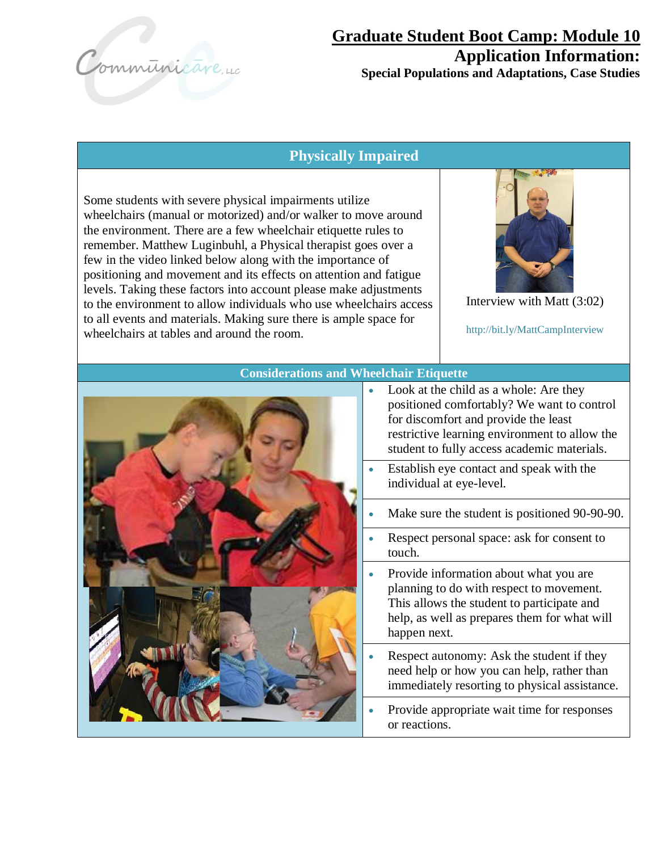Communicare, 40

### **Physically Impaired**

Some students with severe physical impairments utilize wheelchairs (manual or motorized) and/or walker to move around the environment. There are a few wheelchair etiquette rules to remember. Matthew Luginbuhl, a Physical therapist goes over a few in the video linked below along with the importance of positioning and movement and its effects on attention and fatigue levels. Taking these factors into account please make adjustments to the environment to allow individuals who use wheelchairs access to all events and materials. Making sure there is ample space for wheelchairs at tables and around the room.



Interview with Matt (3:02)

http://bit.ly/MattCampInterview



#### **Considerations and Wheelchair Etiquette**

- Look at the child as a whole: Are they positioned comfortably? We want to control for discomfort and provide the least restrictive learning environment to allow the student to fully access academic materials.
- Establish eye contact and speak with the individual at eye-level.
- Make sure the student is positioned 90-90-90.
- Respect personal space: ask for consent to touch.
- Provide information about what you are planning to do with respect to movement. This allows the student to participate and help, as well as prepares them for what will happen next.
- Respect autonomy: Ask the student if they need help or how you can help, rather than immediately resorting to physical assistance.
- Provide appropriate wait time for responses or reactions.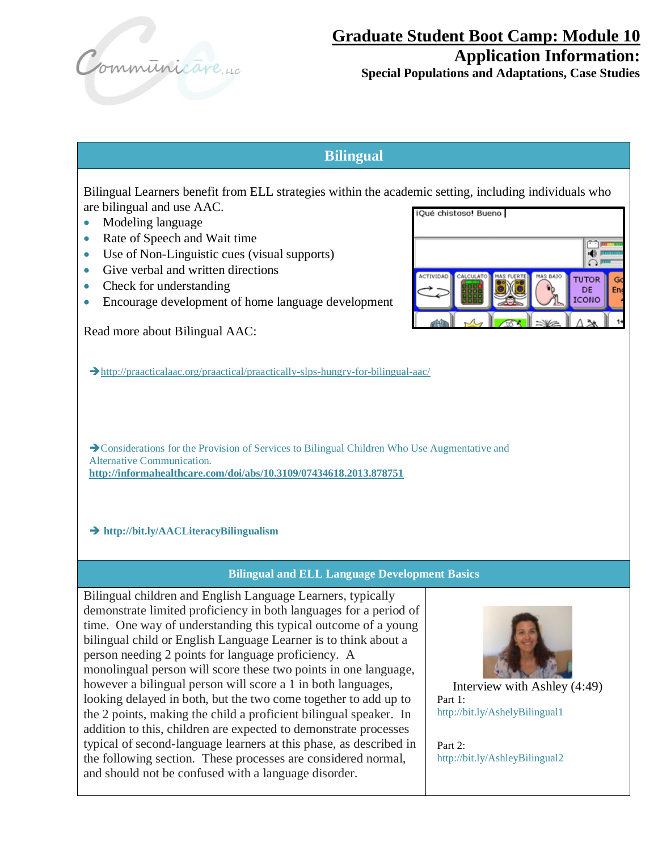

# **Graduate Student Boot Camp: Module 10 Application Information:**

**Special Populations and Adaptations, Case Studies**

# **Bilingual**

Bilingual Learners benefit from ELL strategies within the academic setting, including individuals who are bilingual and use AAC. iQué chistoso! Bueno

- Modeling language
- Rate of Speech and Wait time
- Use of Non-Linguistic cues (visual supports)
- Give verbal and written directions
- Check for understanding
- Encourage development of home language development

Read more about Bilingual AAC:



G

En

➔http://praacticalaac.org/praactical/praactically-slps-hungry-for-bilingual-aac/

→ Considerations for the Provision of Services to Bilingual Children Who Use Augmentative and Alternative Communication*.* **http://informahealthcare.com/doi/abs/10.3109/07434618.2013.878751**

#### ➔ **http://bit.ly/AACLiteracyBilingualism**

#### **Bilingual and ELL Language Development Basics**

Bilingual children and English Language Learners, typically demonstrate limited proficiency in both languages for a period of time. One way of understanding this typical outcome of a young bilingual child or English Language Learner is to think about a person needing 2 points for language proficiency. A monolingual person will score these two points in one language, however a bilingual person will score a 1 in both languages, looking delayed in both, but the two come together to add up to the 2 points, making the child a proficient bilingual speaker. In addition to this, children are expected to demonstrate processes typical of second-language learners at this phase, as described in the following section. These processes are considered normal, and should not be confused with a language disorder.



Interview with Ashley (4:49) Part 1: http://bit.ly/AshelyBilingual1

Part 2: http://bit.ly/AshleyBilingual2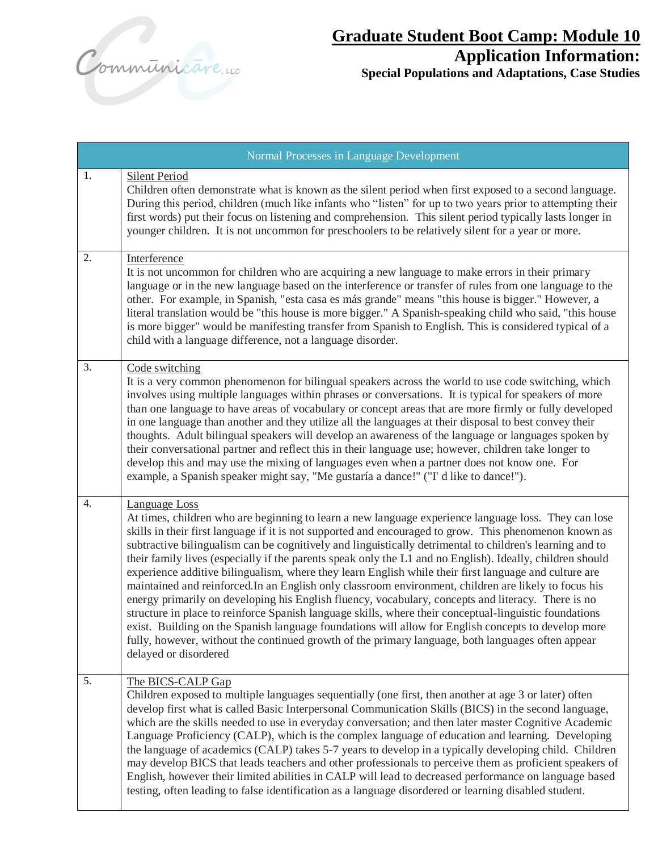Communicareure

| Normal Processes in Language Development |                                                                                                                                                                                                                                                                                                                                                                                                                                                                                                                                                                                                                                                                                                                                                                                                                                                                                                                                                                                                                                                                                                                                 |  |
|------------------------------------------|---------------------------------------------------------------------------------------------------------------------------------------------------------------------------------------------------------------------------------------------------------------------------------------------------------------------------------------------------------------------------------------------------------------------------------------------------------------------------------------------------------------------------------------------------------------------------------------------------------------------------------------------------------------------------------------------------------------------------------------------------------------------------------------------------------------------------------------------------------------------------------------------------------------------------------------------------------------------------------------------------------------------------------------------------------------------------------------------------------------------------------|--|
| 1.                                       | <b>Silent Period</b><br>Children often demonstrate what is known as the silent period when first exposed to a second language.<br>During this period, children (much like infants who "listen" for up to two years prior to attempting their<br>first words) put their focus on listening and comprehension. This silent period typically lasts longer in<br>younger children. It is not uncommon for preschoolers to be relatively silent for a year or more.                                                                                                                                                                                                                                                                                                                                                                                                                                                                                                                                                                                                                                                                  |  |
| 2.                                       | Interference<br>It is not uncommon for children who are acquiring a new language to make errors in their primary<br>language or in the new language based on the interference or transfer of rules from one language to the<br>other. For example, in Spanish, "esta casa es más grande" means "this house is bigger." However, a<br>literal translation would be "this house is more bigger." A Spanish-speaking child who said, "this house<br>is more bigger" would be manifesting transfer from Spanish to English. This is considered typical of a<br>child with a language difference, not a language disorder.                                                                                                                                                                                                                                                                                                                                                                                                                                                                                                           |  |
| 3.                                       | Code switching<br>It is a very common phenomenon for bilingual speakers across the world to use code switching, which<br>involves using multiple languages within phrases or conversations. It is typical for speakers of more<br>than one language to have areas of vocabulary or concept areas that are more firmly or fully developed<br>in one language than another and they utilize all the languages at their disposal to best convey their<br>thoughts. Adult bilingual speakers will develop an awareness of the language or languages spoken by<br>their conversational partner and reflect this in their language use; however, children take longer to<br>develop this and may use the mixing of languages even when a partner does not know one. For<br>example, a Spanish speaker might say, "Me gustaría a dance!" ("I' d like to dance!").                                                                                                                                                                                                                                                                      |  |
| $\overline{4}$ .                         | Language Loss<br>At times, children who are beginning to learn a new language experience language loss. They can lose<br>skills in their first language if it is not supported and encouraged to grow. This phenomenon known as<br>subtractive bilingualism can be cognitively and linguistically detrimental to children's learning and to<br>their family lives (especially if the parents speak only the L1 and no English). Ideally, children should<br>experience additive bilingualism, where they learn English while their first language and culture are<br>maintained and reinforced. In an English only classroom environment, children are likely to focus his<br>energy primarily on developing his English fluency, vocabulary, concepts and literacy. There is no<br>structure in place to reinforce Spanish language skills, where their conceptual-linguistic foundations<br>exist. Building on the Spanish language foundations will allow for English concepts to develop more<br>fully, however, without the continued growth of the primary language, both languages often appear<br>delayed or disordered |  |
| 5.                                       | The BICS-CALP Gap<br>Children exposed to multiple languages sequentially (one first, then another at age 3 or later) often<br>develop first what is called Basic Interpersonal Communication Skills (BICS) in the second language,<br>which are the skills needed to use in everyday conversation; and then later master Cognitive Academic<br>Language Proficiency (CALP), which is the complex language of education and learning. Developing<br>the language of academics (CALP) takes 5-7 years to develop in a typically developing child. Children<br>may develop BICS that leads teachers and other professionals to perceive them as proficient speakers of<br>English, however their limited abilities in CALP will lead to decreased performance on language based<br>testing, often leading to false identification as a language disordered or learning disabled student.                                                                                                                                                                                                                                           |  |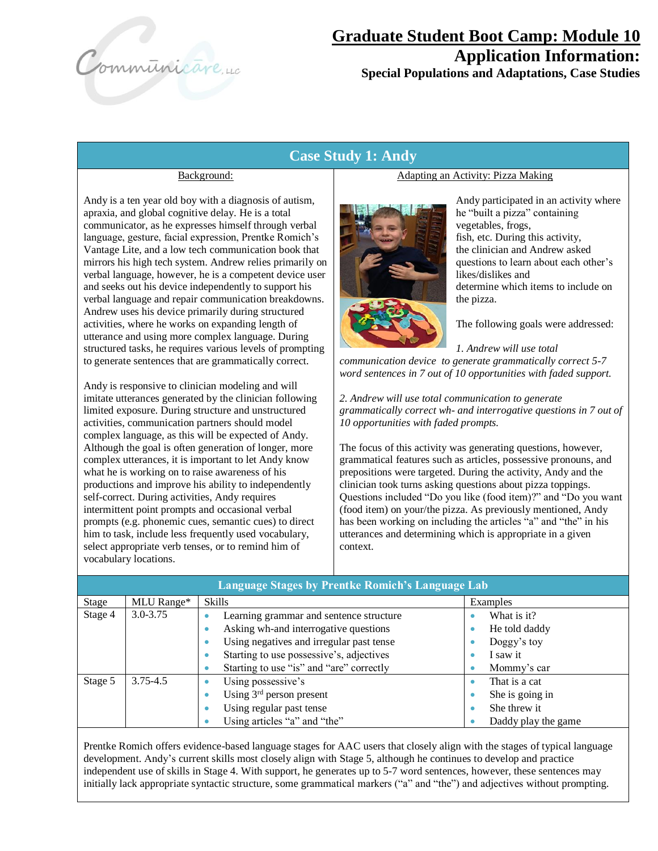Communicare, 40

### **Case Study 1: Andy**

#### Background:

Andy is a ten year old boy with a diagnosis of autism, apraxia, and global cognitive delay. He is a total communicator, as he expresses himself through verbal language, gesture, facial expression, Prentke Romich's Vantage Lite, and a low tech communication book that mirrors his high tech system. Andrew relies primarily on verbal language, however, he is a competent device user and seeks out his device independently to support his verbal language and repair communication breakdowns. Andrew uses his device primarily during structured activities, where he works on expanding length of utterance and using more complex language. During structured tasks, he requires various levels of prompting to generate sentences that are grammatically correct.

Andy is responsive to clinician modeling and will imitate utterances generated by the clinician following limited exposure. During structure and unstructured activities, communication partners should model complex language, as this will be expected of Andy. Although the goal is often generation of longer, more complex utterances, it is important to let Andy know what he is working on to raise awareness of his productions and improve his ability to independently self-correct. During activities, Andy requires intermittent point prompts and occasional verbal prompts (e.g. phonemic cues, semantic cues) to direct him to task, include less frequently used vocabulary, select appropriate verb tenses, or to remind him of vocabulary locations.

#### Adapting an Activity: Pizza Making



Andy participated in an activity where he "built a pizza" containing vegetables, frogs, fish, etc. During this activity, the clinician and Andrew asked questions to learn about each other's likes/dislikes and determine which items to include on the pizza.

The following goals were addressed:

*1. Andrew will use total communication device to generate grammatically correct 5-7 word sentences in 7 out of 10 opportunities with faded support.*

*2. Andrew will use total communication to generate grammatically correct wh- and interrogative questions in 7 out of 10 opportunities with faded prompts.*

The focus of this activity was generating questions, however, grammatical features such as articles, possessive pronouns, and prepositions were targeted. During the activity, Andy and the clinician took turns asking questions about pizza toppings. Questions included "Do you like (food item)?" and "Do you want (food item) on your/the pizza. As previously mentioned, Andy has been working on including the articles "a" and "the" in his utterances and determining which is appropriate in a given context.

| <b>Language Stages by Prentke Romich's Language Lab</b> |              |                                                       |                      |  |
|---------------------------------------------------------|--------------|-------------------------------------------------------|----------------------|--|
| Stage                                                   | MLU Range*   | <b>Skills</b>                                         | Examples             |  |
| Stage 4                                                 | $3.0 - 3.75$ | Learning grammar and sentence structure<br>۰          | What is it?          |  |
|                                                         |              | Asking wh-and interrogative questions<br>٠            | He told daddy        |  |
|                                                         |              | Using negatives and irregular past tense<br>$\bullet$ | Doggy's toy          |  |
|                                                         |              | Starting to use possessive's, adjectives<br>۰         | I saw it             |  |
|                                                         |              | Starting to use "is" and "are" correctly<br>۰         | Mommy's car          |  |
| Stage 5                                                 | 3.75-4.5     | Using possessive's<br>٠                               | That is a cat        |  |
|                                                         |              | Using $3rd$ person present<br>۰                       | She is going in<br>٠ |  |
|                                                         |              | Using regular past tense<br>۰                         | She threw it         |  |
|                                                         |              | Using articles "a" and "the"<br>٠                     | Daddy play the game  |  |
|                                                         |              |                                                       |                      |  |

Prentke Romich offers evidence-based language stages for AAC users that closely align with the stages of typical language development. Andy's current skills most closely align with Stage 5, although he continues to develop and practice independent use of skills in Stage 4. With support, he generates up to 5-7 word sentences, however, these sentences may initially lack appropriate syntactic structure, some grammatical markers ("a" and "the") and adjectives without prompting.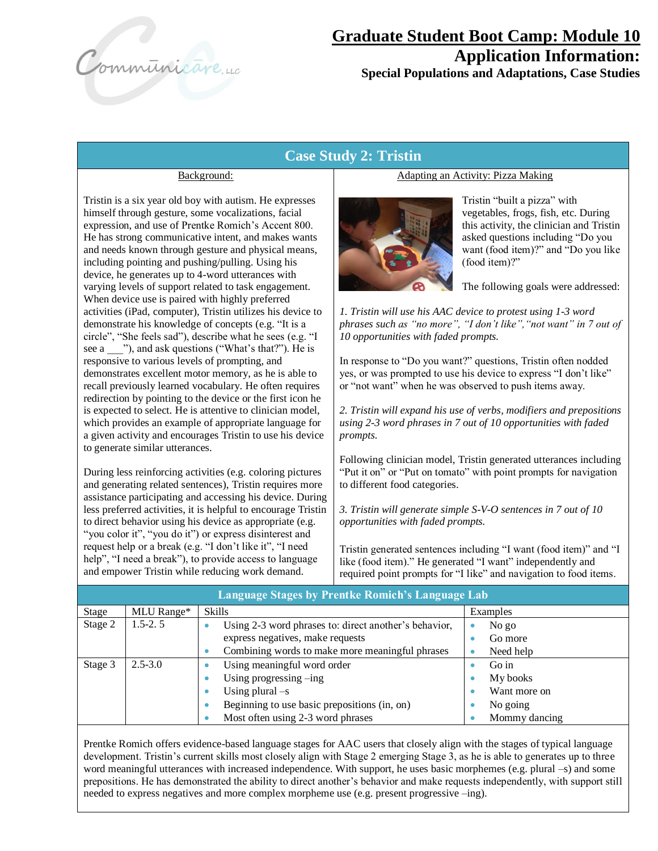Communicare, 40

### **Case Study 2: Tristin**

#### Background:

Tristin is a six year old boy with autism. He expresses himself through gesture, some vocalizations, facial expression, and use of Prentke Romich's Accent 800. He has strong communicative intent, and makes wants and needs known through gesture and physical means, including pointing and pushing/pulling. Using his device, he generates up to 4-word utterances with varying levels of support related to task engagement. When device use is paired with highly preferred activities (iPad, computer), Tristin utilizes his device to demonstrate his knowledge of concepts (e.g. "It is a circle", "She feels sad"), describe what he sees (e.g. "I see a \_\_\_"), and ask questions ("What's that?"). He is responsive to various levels of prompting, and demonstrates excellent motor memory, as he is able to recall previously learned vocabulary. He often requires redirection by pointing to the device or the first icon he is expected to select. He is attentive to clinician model, which provides an example of appropriate language for a given activity and encourages Tristin to use his device to generate similar utterances.

During less reinforcing activities (e.g. coloring pictures and generating related sentences), Tristin requires more assistance participating and accessing his device. During less preferred activities, it is helpful to encourage Tristin to direct behavior using his device as appropriate (e.g. "you color it", "you do it") or express disinterest and request help or a break (e.g. "I don't like it", "I need help", "I need a break"), to provide access to language and empower Tristin while reducing work demand.

#### Adapting an Activity: Pizza Making



Tristin "built a pizza" with vegetables, frogs, fish, etc. During this activity, the clinician and Tristin asked questions including "Do you want (food item)?" and "Do you like (food item)?"

The following goals were addressed:

*1. Tristin will use his AAC device to protest using 1-3 word phrases such as "no more", "I don't like","not want" in 7 out of 10 opportunities with faded prompts.*

In response to "Do you want?" questions, Tristin often nodded yes, or was prompted to use his device to express "I don't like" or "not want" when he was observed to push items away.

*2. Tristin will expand his use of verbs, modifiers and prepositions using 2-3 word phrases in 7 out of 10 opportunities with faded prompts.*

Following clinician model, Tristin generated utterances including "Put it on" or "Put on tomato" with point prompts for navigation to different food categories.

*3. Tristin will generate simple S-V-O sentences in 7 out of 10 opportunities with faded prompts.*

Tristin generated sentences including "I want (food item)" and "I like (food item)." He generated "I want" independently and required point prompts for "I like" and navigation to food items.

| <b>Language Stages by Prentke Romich's Language Lab</b> |             |                                                       |               |  |
|---------------------------------------------------------|-------------|-------------------------------------------------------|---------------|--|
| Stage                                                   | MLU Range*  | Skills                                                | Examples      |  |
| Stage 2                                                 | $1.5 - 2.5$ | Using 2-3 word phrases to: direct another's behavior, | No go         |  |
|                                                         |             | express negatives, make requests                      | Go more       |  |
|                                                         |             | Combining words to make more meaningful phrases       | Need help     |  |
| Stage 3                                                 | $2.5 - 3.0$ | Using meaningful word order                           | Go in         |  |
|                                                         |             | Using progressing $-\text{ing}$                       | My books      |  |
|                                                         |             | Using plural $-s$<br>۰                                | Want more on  |  |
|                                                         |             | Beginning to use basic prepositions (in, on)          | No going      |  |
|                                                         |             | Most often using 2-3 word phrases                     | Mommy dancing |  |

Prentke Romich offers evidence-based language stages for AAC users that closely align with the stages of typical language development. Tristin's current skills most closely align with Stage 2 emerging Stage 3, as he is able to generates up to three word meaningful utterances with increased independence. With support, he uses basic morphemes (e.g. plural –s) and some prepositions. He has demonstrated the ability to direct another's behavior and make requests independently, with support still needed to express negatives and more complex morpheme use (e.g. present progressive –ing).